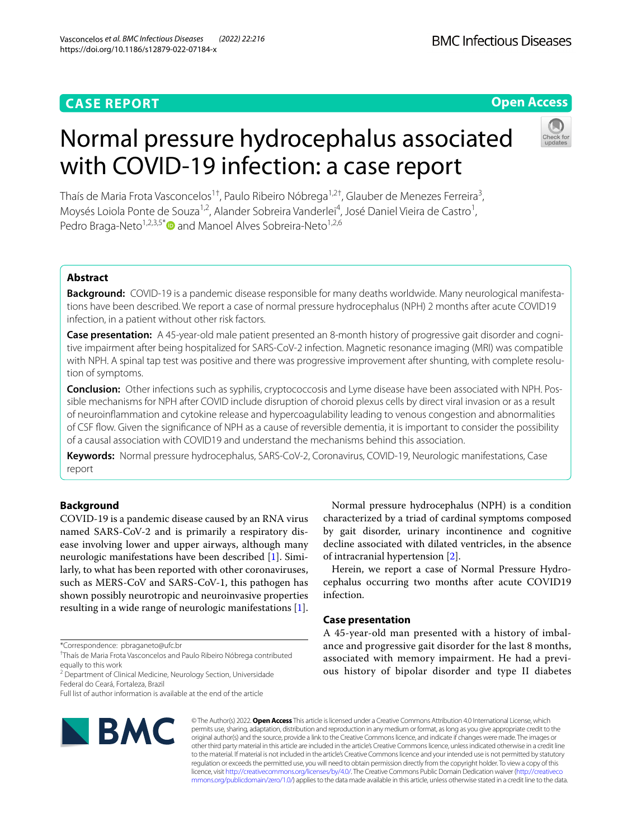## **CASE REPORT**

## **Open Access**

# Normal pressure hydrocephalus associated with COVID-19 infection: a case report



Thaís de Maria Frota Vasconcelos<sup>1†</sup>, Paulo Ribeiro Nóbrega<sup>1,2†</sup>, Glauber de Menezes Ferreira<sup>3</sup>, Moysés Loiola Ponte de Souza<sup>1,2</sup>, Alander Sobreira Vanderlei<sup>4</sup>, José Daniel Vieira de Castro<sup>1</sup>, Pedro Braga-Neto<sup>1,2,3,5[\\*](http://orcid.org/0000-0001-9186-9243)</sup> and Manoel Alves Sobreira-Neto<sup>1,2,6</sup>

## **Abstract**

**Background:** COVID-19 is a pandemic disease responsible for many deaths worldwide. Many neurological manifestations have been described. We report a case of normal pressure hydrocephalus (NPH) 2 months after acute COVID19 infection, in a patient without other risk factors.

Case presentation: A 45-year-old male patient presented an 8-month history of progressive gait disorder and cognitive impairment after being hospitalized for SARS-CoV-2 infection. Magnetic resonance imaging (MRI) was compatible with NPH. A spinal tap test was positive and there was progressive improvement after shunting, with complete resolution of symptoms.

**Conclusion:** Other infections such as syphilis, cryptococcosis and Lyme disease have been associated with NPH. Pos‑ sible mechanisms for NPH after COVID include disruption of choroid plexus cells by direct viral invasion or as a result of neuroinfammation and cytokine release and hypercoagulability leading to venous congestion and abnormalities of CSF fow. Given the signifcance of NPH as a cause of reversible dementia, it is important to consider the possibility of a causal association with COVID19 and understand the mechanisms behind this association.

**Keywords:** Normal pressure hydrocephalus, SARS-CoV-2, Coronavirus, COVID-19, Neurologic manifestations, Case report

## **Background**

COVID-19 is a pandemic disease caused by an RNA virus named SARS-CoV-2 and is primarily a respiratory disease involving lower and upper airways, although many neurologic manifestations have been described [\[1](#page-4-0)]. Similarly, to what has been reported with other coronaviruses, such as MERS-CoV and SARS-CoV-1, this pathogen has shown possibly neurotropic and neuroinvasive properties resulting in a wide range of neurologic manifestations [\[1](#page-4-0)].

<sup>2</sup> Department of Clinical Medicine, Neurology Section, Universidade Federal do Ceará, Fortaleza, Brazil

Full list of author information is available at the end of the article



Normal pressure hydrocephalus (NPH) is a condition characterized by a triad of cardinal symptoms composed by gait disorder, urinary incontinence and cognitive decline associated with dilated ventricles, in the absence of intracranial hypertension [\[2\]](#page-4-1).

Herein, we report a case of Normal Pressure Hydrocephalus occurring two months after acute COVID19 infection.

## **Case presentation**

A 45-year-old man presented with a history of imbalance and progressive gait disorder for the last 8 months, associated with memory impairment. He had a previous history of bipolar disorder and type II diabetes

© The Author(s) 2022. **Open Access** This article is licensed under a Creative Commons Attribution 4.0 International License, which permits use, sharing, adaptation, distribution and reproduction in any medium or format, as long as you give appropriate credit to the original author(s) and the source, provide a link to the Creative Commons licence, and indicate if changes were made. The images or other third party material in this article are included in the article's Creative Commons licence, unless indicated otherwise in a credit line to the material. If material is not included in the article's Creative Commons licence and your intended use is not permitted by statutory regulation or exceeds the permitted use, you will need to obtain permission directly from the copyright holder. To view a copy of this licence, visit [http://creativecommons.org/licenses/by/4.0/.](http://creativecommons.org/licenses/by/4.0/) The Creative Commons Public Domain Dedication waiver ([http://creativeco](http://creativecommons.org/publicdomain/zero/1.0/) [mmons.org/publicdomain/zero/1.0/](http://creativecommons.org/publicdomain/zero/1.0/)) applies to the data made available in this article, unless otherwise stated in a credit line to the data.

<sup>\*</sup>Correspondence: pbraganeto@ufc.br

<sup>†</sup> Thaís de Maria Frota Vasconcelos and Paulo Ribeiro Nóbrega contributed equally to this work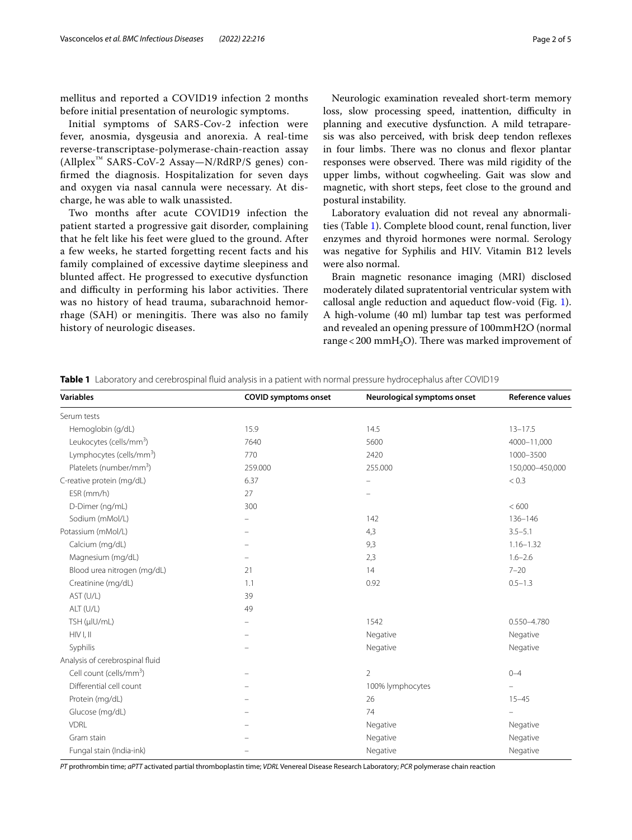mellitus and reported a COVID19 infection 2 months before initial presentation of neurologic symptoms.

Initial symptoms of SARS-Cov-2 infection were fever, anosmia, dysgeusia and anorexia. A real-time reverse-transcriptase-polymerase-chain-reaction assay (Allplex™ SARS-CoV-2 Assay—N/RdRP/S genes) confrmed the diagnosis. Hospitalization for seven days and oxygen via nasal cannula were necessary. At discharge, he was able to walk unassisted.

Two months after acute COVID19 infection the patient started a progressive gait disorder, complaining that he felt like his feet were glued to the ground. After a few weeks, he started forgetting recent facts and his family complained of excessive daytime sleepiness and blunted afect. He progressed to executive dysfunction and difficulty in performing his labor activities. There was no history of head trauma, subarachnoid hemorrhage (SAH) or meningitis. There was also no family history of neurologic diseases.

Neurologic examination revealed short-term memory loss, slow processing speed, inattention, difficulty in planning and executive dysfunction. A mild tetraparesis was also perceived, with brisk deep tendon refexes in four limbs. There was no clonus and flexor plantar responses were observed. There was mild rigidity of the upper limbs, without cogwheeling. Gait was slow and magnetic, with short steps, feet close to the ground and postural instability.

Laboratory evaluation did not reveal any abnormalities (Table [1](#page-1-0)). Complete blood count, renal function, liver enzymes and thyroid hormones were normal. Serology was negative for Syphilis and HIV. Vitamin B12 levels were also normal.

Brain magnetic resonance imaging (MRI) disclosed moderately dilated supratentorial ventricular system with callosal angle reduction and aqueduct flow-void (Fig. [1](#page-2-0)). A high-volume (40 ml) lumbar tap test was performed and revealed an opening pressure of 100mmH2O (normal range < 200 mmH<sub>2</sub>O). There was marked improvement of

<span id="page-1-0"></span>**Table 1** Laboratory and cerebrospinal fluid analysis in a patient with normal pressure hydrocephalus after COVID19

*PT* prothrombin time; *aPTT* activated partial thromboplastin time; *VDRL* Venereal Disease Research Laboratory; *PCR* polymerase chain reaction

| <b>Variables</b>                     | <b>COVID symptoms onset</b> | Neurological symptoms onset | Reference values         |
|--------------------------------------|-----------------------------|-----------------------------|--------------------------|
| Serum tests                          |                             |                             |                          |
| Hemoglobin (g/dL)                    | 15.9                        | 14.5                        | $13 - 17.5$              |
| Leukocytes (cells/mm <sup>3</sup> )  | 7640                        | 5600                        | 4000-11,000              |
| Lymphocytes (cells/mm <sup>3</sup> ) | 770                         | 2420                        | 1000-3500                |
| Platelets (number/mm <sup>3</sup> )  | 259.000                     | 255.000                     | 150,000-450,000          |
| C-reative protein (mg/dL)            | 6.37                        | $\overline{\phantom{0}}$    | < 0.3                    |
| ESR (mm/h)                           | 27                          |                             |                          |
| D-Dimer (ng/mL)                      | 300                         |                             | < 600                    |
| Sodium (mMol/L)                      |                             | 142                         | 136-146                  |
| Potassium (mMol/L)                   |                             | 4,3                         | $3.5 - 5.1$              |
| Calcium (mg/dL)                      |                             | 9,3                         | $1.16 - 1.32$            |
| Magnesium (mg/dL)                    |                             | 2,3                         | $1.6 - 2.6$              |
| Blood urea nitrogen (mg/dL)          | 21                          | 14                          | $7 - 20$                 |
| Creatinine (mg/dL)                   | 1.1                         | 0.92                        | $0.5 - 1.3$              |
| AST (U/L)                            | 39                          |                             |                          |
| ALT (U/L)                            | 49                          |                             |                          |
| TSH (µlU/mL)                         | $\equiv$                    | 1542                        | 0.550-4.780              |
| HIVI, II                             | $\equiv$                    | Negative                    | Negative                 |
| Syphilis                             |                             | Negative                    | Negative                 |
| Analysis of cerebrospinal fluid      |                             |                             |                          |
| Cell count (cells/mm <sup>3</sup> )  | $\overline{\phantom{0}}$    | $\overline{2}$              | $0 - 4$                  |
| Differential cell count              |                             | 100% lymphocytes            | $\equiv$                 |
| Protein (mg/dL)                      |                             | 26                          | $15 - 45$                |
| Glucose (mg/dL)                      |                             | 74                          | $\overline{\phantom{0}}$ |
| <b>VDRL</b>                          |                             | Negative                    | Negative                 |
| Gram stain                           |                             | Negative                    | Negative                 |
| Fungal stain (India-ink)             |                             | Negative                    | Negative                 |
|                                      |                             |                             |                          |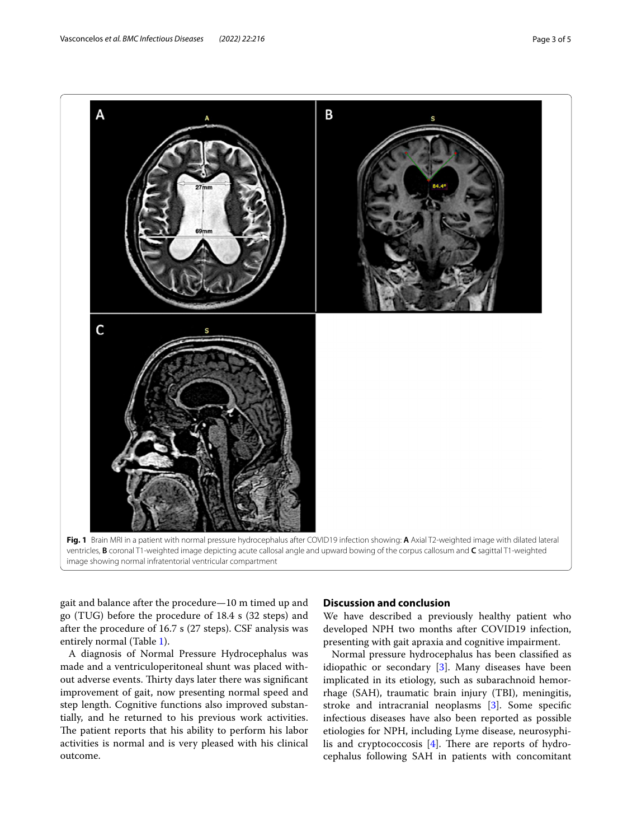

<span id="page-2-0"></span>gait and balance after the procedure—10 m timed up and

go (TUG) before the procedure of 18.4 s (32 steps) and after the procedure of 16.7 s (27 steps). CSF analysis was entirely normal (Table [1\)](#page-1-0).

A diagnosis of Normal Pressure Hydrocephalus was made and a ventriculoperitoneal shunt was placed without adverse events. Thirty days later there was significant improvement of gait, now presenting normal speed and step length. Cognitive functions also improved substantially, and he returned to his previous work activities. The patient reports that his ability to perform his labor activities is normal and is very pleased with his clinical outcome.

### **Discussion and conclusion**

We have described a previously healthy patient who developed NPH two months after COVID19 infection, presenting with gait apraxia and cognitive impairment.

Normal pressure hydrocephalus has been classifed as idiopathic or secondary [\[3\]](#page-4-2). Many diseases have been implicated in its etiology, such as subarachnoid hemorrhage (SAH), traumatic brain injury (TBI), meningitis, stroke and intracranial neoplasms [[3\]](#page-4-2). Some specifc infectious diseases have also been reported as possible etiologies for NPH, including Lyme disease, neurosyphilis and cryptococcosis  $[4]$  $[4]$ . There are reports of hydrocephalus following SAH in patients with concomitant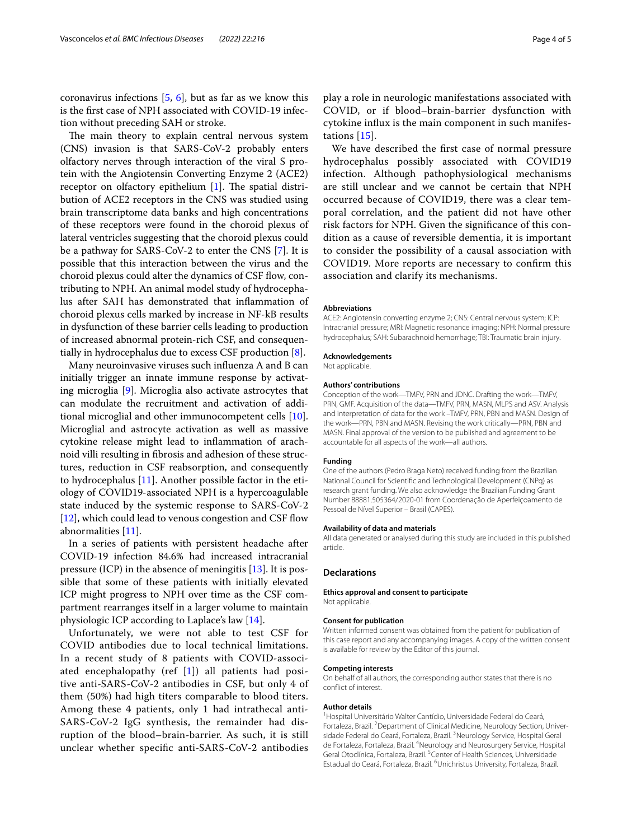coronavirus infections  $[5, 6]$  $[5, 6]$  $[5, 6]$ , but as far as we know this is the frst case of NPH associated with COVID-19 infection without preceding SAH or stroke.

The main theory to explain central nervous system (CNS) invasion is that SARS-CoV-2 probably enters olfactory nerves through interaction of the viral S protein with the Angiotensin Converting Enzyme 2 (ACE2) receptor on olfactory epithelium  $[1]$  $[1]$ . The spatial distribution of ACE2 receptors in the CNS was studied using brain transcriptome data banks and high concentrations of these receptors were found in the choroid plexus of lateral ventricles suggesting that the choroid plexus could be a pathway for SARS-CoV-2 to enter the CNS [[7](#page-4-6)]. It is possible that this interaction between the virus and the choroid plexus could alter the dynamics of CSF flow, contributing to NPH. An animal model study of hydrocephalus after SAH has demonstrated that infammation of choroid plexus cells marked by increase in NF-kB results in dysfunction of these barrier cells leading to production of increased abnormal protein-rich CSF, and consequentially in hydrocephalus due to excess CSF production [[8\]](#page-4-7).

Many neuroinvasive viruses such infuenza A and B can initially trigger an innate immune response by activating microglia [\[9](#page-4-8)]. Microglia also activate astrocytes that can modulate the recruitment and activation of additional microglial and other immunocompetent cells [\[10](#page-4-9)]. Microglial and astrocyte activation as well as massive cytokine release might lead to infammation of arachnoid villi resulting in fbrosis and adhesion of these structures, reduction in CSF reabsorption, and consequently to hydrocephalus [\[11](#page-4-10)]. Another possible factor in the etiology of COVID19-associated NPH is a hypercoagulable state induced by the systemic response to SARS-CoV-2 [[12\]](#page-4-11), which could lead to venous congestion and CSF flow abnormalities [\[11](#page-4-10)].

In a series of patients with persistent headache after COVID-19 infection 84.6% had increased intracranial pressure (ICP) in the absence of meningitis [\[13](#page-4-12)]. It is possible that some of these patients with initially elevated ICP might progress to NPH over time as the CSF compartment rearranges itself in a larger volume to maintain physiologic ICP according to Laplace's law [[14](#page-4-13)].

Unfortunately, we were not able to test CSF for COVID antibodies due to local technical limitations. In a recent study of 8 patients with COVID-associated encephalopathy (ref  $[1]$  $[1]$ ) all patients had positive anti-SARS-CoV-2 antibodies in CSF, but only 4 of them (50%) had high titers comparable to blood titers. Among these 4 patients, only 1 had intrathecal anti-SARS-CoV-2 IgG synthesis, the remainder had disruption of the blood–brain-barrier. As such, it is still unclear whether specifc anti-SARS-CoV-2 antibodies play a role in neurologic manifestations associated with COVID, or if blood–brain-barrier dysfunction with cytokine infux is the main component in such manifestations [\[15\]](#page-4-14).

We have described the frst case of normal pressure hydrocephalus possibly associated with COVID19 infection. Although pathophysiological mechanisms are still unclear and we cannot be certain that NPH occurred because of COVID19, there was a clear temporal correlation, and the patient did not have other risk factors for NPH. Given the signifcance of this condition as a cause of reversible dementia, it is important to consider the possibility of a causal association with COVID19. More reports are necessary to confrm this association and clarify its mechanisms.

#### **Abbreviations**

ACE2: Angiotensin converting enzyme 2; CNS: Central nervous system; ICP: Intracranial pressure; MRI: Magnetic resonance imaging; NPH: Normal pressure hydrocephalus; SAH: Subarachnoid hemorrhage; TBI: Traumatic brain injury.

#### **Acknowledgements**

Not applicable.

#### **Authors' contributions**

Conception of the work—TMFV, PRN and JDNC. Drafting the work—TMFV, PRN, GMF. Acquisition of the data—TMFV, PRN, MASN, MLPS and ASV. Analysis and interpretation of data for the work –TMFV, PRN, PBN and MASN. Design of the work—PRN, PBN and MASN. Revising the work critically—PRN, PBN and MASN. Final approval of the version to be published and agreement to be accountable for all aspects of the work—all authors.

#### **Funding**

One of the authors (Pedro Braga Neto) received funding from the Brazilian National Council for Scientifc and Technological Development (CNPq) as research grant funding. We also acknowledge the Brazilian Funding Grant Number 88881.505364/2020-01 from Coordenação de Aperfeiçoamento de Pessoal de Nível Superior – Brasil (CAPES).

#### **Availability of data and materials**

All data generated or analysed during this study are included in this published article.

#### **Declarations**

**Ethics approval and consent to participate** Not applicable.

#### **Consent for publication**

Written informed consent was obtained from the patient for publication of this case report and any accompanying images. A copy of the written consent is available for review by the Editor of this journal.

#### **Competing interests**

On behalf of all authors, the corresponding author states that there is no confict of interest.

#### **Author details**

<sup>1</sup> Hospital Universitário Walter Cantídio, Universidade Federal do Ceará, Fortaleza, Brazil. <sup>2</sup> Department of Clinical Medicine, Neurology Section, Universidade Federal do Ceará, Fortaleza, Brazil. <sup>3</sup>Neurology Service, Hospital Geral de Fortaleza, Fortaleza, Brazil. <sup>4</sup>Neurology and Neurosurgery Service, Hospital Geral Otoclínica, Fortaleza, Brazil.<sup>5</sup> Center of Health Sciences, Universidade Estadual do Ceará, Fortaleza, Brazil. <sup>6</sup>Unichristus University, Fortaleza, Brazil.